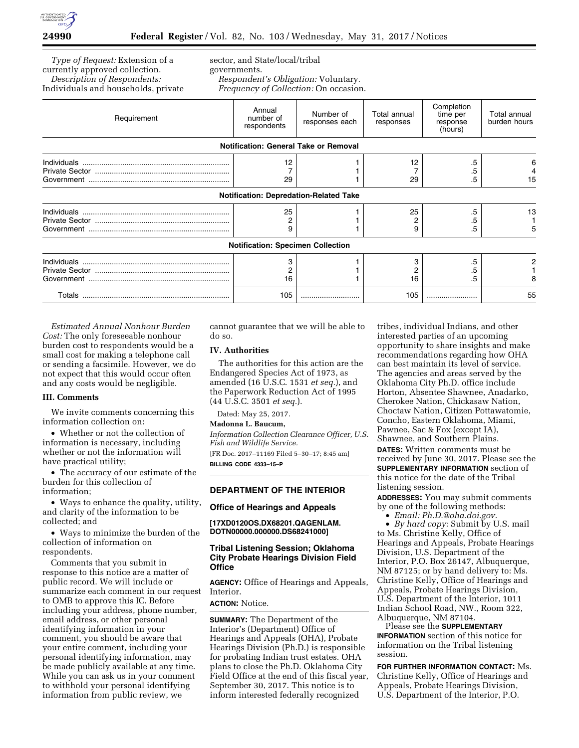

*Type of Request:* Extension of a currently approved collection. *Description of Respondents:*  Individuals and households, private sector, and State/local/tribal governments. *Respondent's Obligation:* Voluntary. *Frequency of Collection:* On occasion.

| Requirement | Annual<br>number of<br>respondents       | Number of<br>responses each                   | Total annual<br>responses | Completion<br>time per<br>response<br>(hours) | Total annual<br>burden hours |
|-------------|------------------------------------------|-----------------------------------------------|---------------------------|-----------------------------------------------|------------------------------|
|             |                                          | Notification: General Take or Removal         |                           |                                               |                              |
|             | 12<br>29                                 |                                               | 12<br>29                  | .5<br>.5                                      | 15                           |
|             |                                          | <b>Notification: Depredation-Related Take</b> |                           |                                               |                              |
|             | 25<br>9                                  |                                               | 25<br>9                   | .5<br>.5                                      | 13                           |
|             | <b>Notification: Specimen Collection</b> |                                               |                           |                                               |                              |
|             | 16                                       |                                               | з<br>16                   | .5                                            |                              |
|             | 105                                      |                                               | 105                       |                                               | 55                           |

*Estimated Annual Nonhour Burden Cost:* The only foreseeable nonhour burden cost to respondents would be a small cost for making a telephone call or sending a facsimile. However, we do not expect that this would occur often and any costs would be negligible.

### **III. Comments**

We invite comments concerning this information collection on:

• Whether or not the collection of information is necessary, including whether or not the information will have practical utility;

• The accuracy of our estimate of the burden for this collection of information;

• Ways to enhance the quality, utility, and clarity of the information to be collected; and

• Ways to minimize the burden of the collection of information on respondents.

Comments that you submit in response to this notice are a matter of public record. We will include or summarize each comment in our request to OMB to approve this IC. Before including your address, phone number, email address, or other personal identifying information in your comment, you should be aware that your entire comment, including your personal identifying information, may be made publicly available at any time. While you can ask us in your comment to withhold your personal identifying information from public review, we

cannot guarantee that we will be able to do so.

# **IV. Authorities**

The authorities for this action are the Endangered Species Act of 1973, as amended (16 U.S.C. 1531 *et seq.*), and the Paperwork Reduction Act of 1995 (44 U.S.C. 3501 *et seq.*).

Dated: May 25, 2017.

#### **Madonna L. Baucum,**

*Information Collection Clearance Officer, U.S. Fish and Wildlife Service.* 

[FR Doc. 2017–11169 Filed 5–30–17; 8:45 am] **BILLING CODE 4333–15–P** 

# **DEPARTMENT OF THE INTERIOR**

## **Office of Hearings and Appeals**

#### **[17XD0120OS.DX68201.QAGENLAM. DOTN00000.000000.DS68241000]**

# **Tribal Listening Session; Oklahoma City Probate Hearings Division Field Office**

**AGENCY:** Office of Hearings and Appeals, Interior.

## **ACTION:** Notice.

**SUMMARY:** The Department of the Interior's (Department) Office of Hearings and Appeals (OHA), Probate Hearings Division (Ph.D.) is responsible for probating Indian trust estates. OHA plans to close the Ph.D. Oklahoma City Field Office at the end of this fiscal year, September 30, 2017. This notice is to inform interested federally recognized

tribes, individual Indians, and other interested parties of an upcoming opportunity to share insights and make recommendations regarding how OHA can best maintain its level of service. The agencies and areas served by the Oklahoma City Ph.D. office include Horton, Absentee Shawnee, Anadarko, Cherokee Nation, Chickasaw Nation, Choctaw Nation, Citizen Pottawatomie, Concho, Eastern Oklahoma, Miami, Pawnee, Sac & Fox (except IA), Shawnee, and Southern Plains. **DATES:** Written comments must be received by June 30, 2017. Please see the **SUPPLEMENTARY INFORMATION** section of this notice for the date of the Tribal listening session.

**ADDRESSES:** You may submit comments by one of the following methods:

• *Email: [Ph.D.@oha.doi.gov.](mailto:Ph.D.@oha.doi.gov)* 

• *By hard copy:* Submit by U.S. mail to Ms. Christine Kelly, Office of Hearings and Appeals, Probate Hearings Division, U.S. Department of the Interior, P.O. Box 26147, Albuquerque, NM 87125; or by hand delivery to: Ms. Christine Kelly, Office of Hearings and Appeals, Probate Hearings Division, U.S. Department of the Interior, 1011 Indian School Road, NW., Room 322, Albuquerque, NM 87104.

Please see the **SUPPLEMENTARY INFORMATION** section of this notice for information on the Tribal listening session.

**FOR FURTHER INFORMATION CONTACT:** Ms. Christine Kelly, Office of Hearings and Appeals, Probate Hearings Division, U.S. Department of the Interior, P.O.